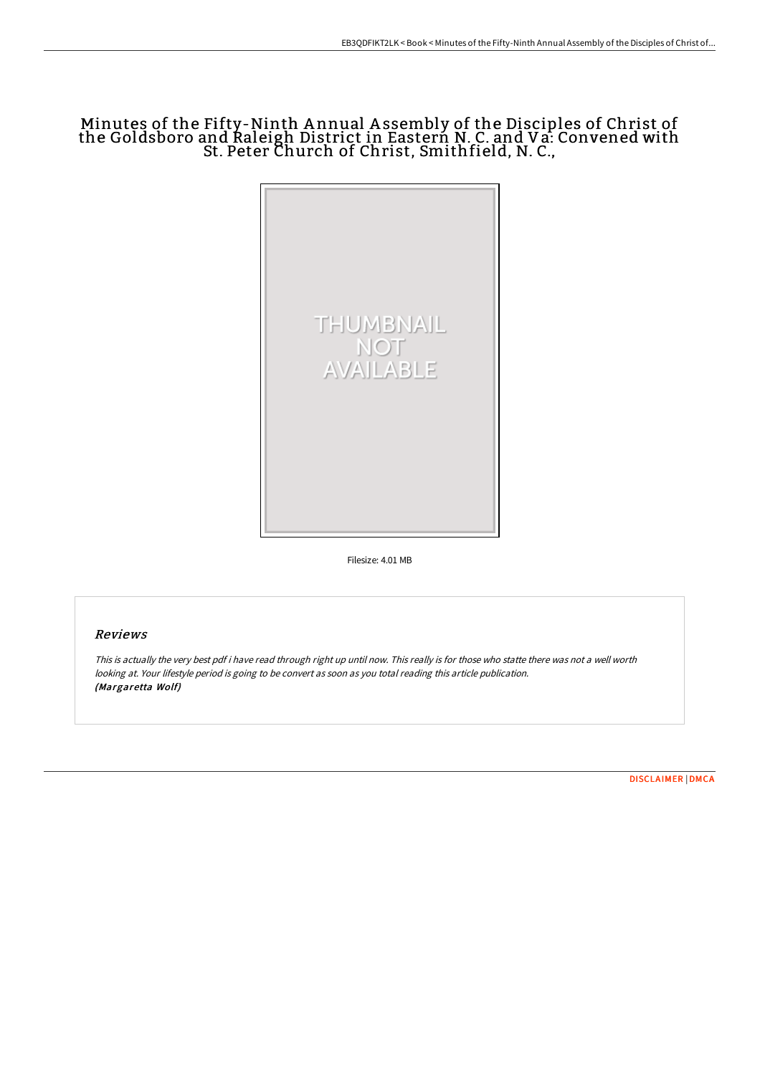## Minutes of the Fifty-Ninth A nnual A ssembly of the Disciples of Christ of the Goldsboro and Raleigh District in Eastern N. C. and Va: Convened with St. Peter Church of Christ, Smithfield, N. C.,



Filesize: 4.01 MB

## Reviews

This is actually the very best pdf i have read through right up until now. This really is for those who statte there was not <sup>a</sup> well worth looking at. Your lifestyle period is going to be convert as soon as you total reading this article publication. (Margaretta Wolf)

[DISCLAIMER](http://techno-pub.tech/disclaimer.html) | [DMCA](http://techno-pub.tech/dmca.html)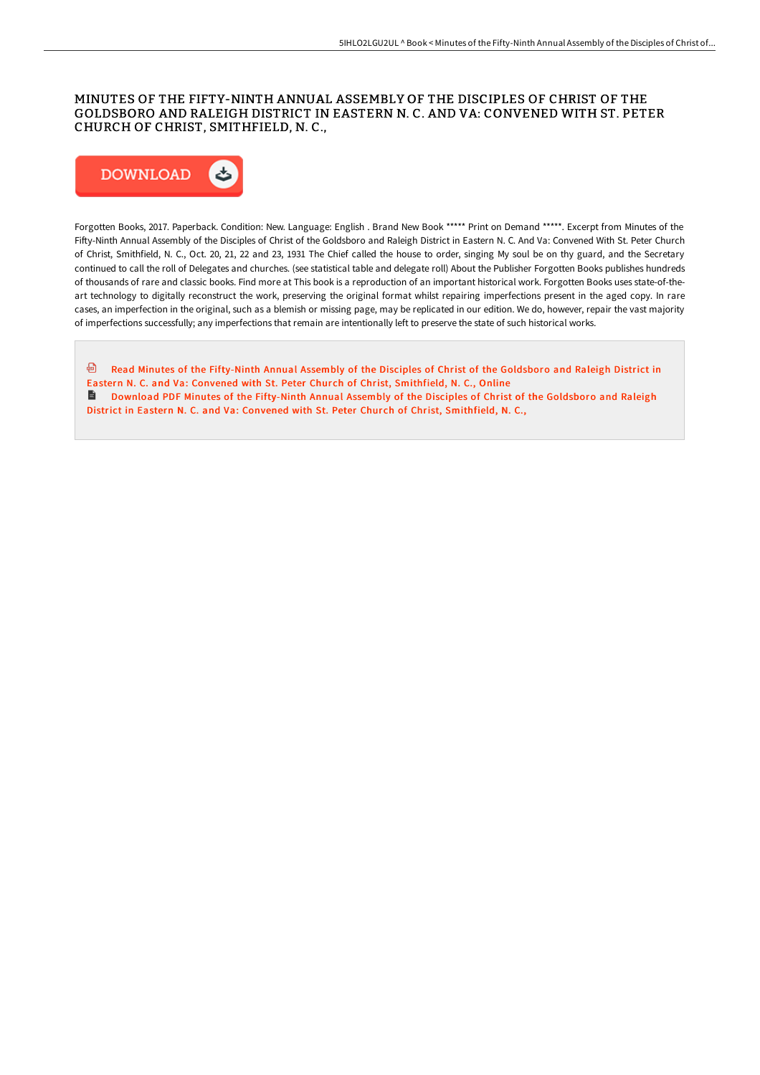## MINUTES OF THE FIFTY-NINTH ANNUAL ASSEMBLY OF THE DISCIPLES OF CHRIST OF THE GOLDSBORO AND RALEIGH DISTRICT IN EASTERN N. C. AND VA: CONVENED WITH ST. PETER CHURCH OF CHRIST, SMITHFIELD, N. C.,



Forgotten Books, 2017. Paperback. Condition: New. Language: English . Brand New Book \*\*\*\*\* Print on Demand \*\*\*\*\*. Excerpt from Minutes of the Fifty-Ninth Annual Assembly of the Disciples of Christ of the Goldsboro and Raleigh District in Eastern N. C. And Va: Convened With St. Peter Church of Christ, Smithfield, N. C., Oct. 20, 21, 22 and 23, 1931 The Chief called the house to order, singing My soul be on thy guard, and the Secretary continued to call the roll of Delegates and churches. (see statistical table and delegate roll) About the Publisher Forgotten Books publishes hundreds of thousands of rare and classic books. Find more at This book is a reproduction of an important historical work. Forgotten Books uses state-of-theart technology to digitally reconstruct the work, preserving the original format whilst repairing imperfections present in the aged copy. In rare cases, an imperfection in the original, such as a blemish or missing page, may be replicated in our edition. We do, however, repair the vast majority of imperfections successfully; any imperfections that remain are intentionally left to preserve the state of such historical works.

Read Minutes of the [Fifty-Ninth](http://techno-pub.tech/minutes-of-the-fifty-ninth-annual-assembly-of-th.html) Annual Assembly of the Disciples of Christ of the Goldsboro and Raleigh District in Eastern N. C. and Va: Convened with St. Peter Church of Christ, Smithfield, N. C., Online Download PDF Minutes of the Fifty-Ninth Annual Assembly of the Disciples of Christ of the Goldsboro and Raleigh District in Eastern N. C. and Va: Convened with St. Peter Church of Christ, [Smithfield,](http://techno-pub.tech/minutes-of-the-fifty-ninth-annual-assembly-of-th.html) N. C.,